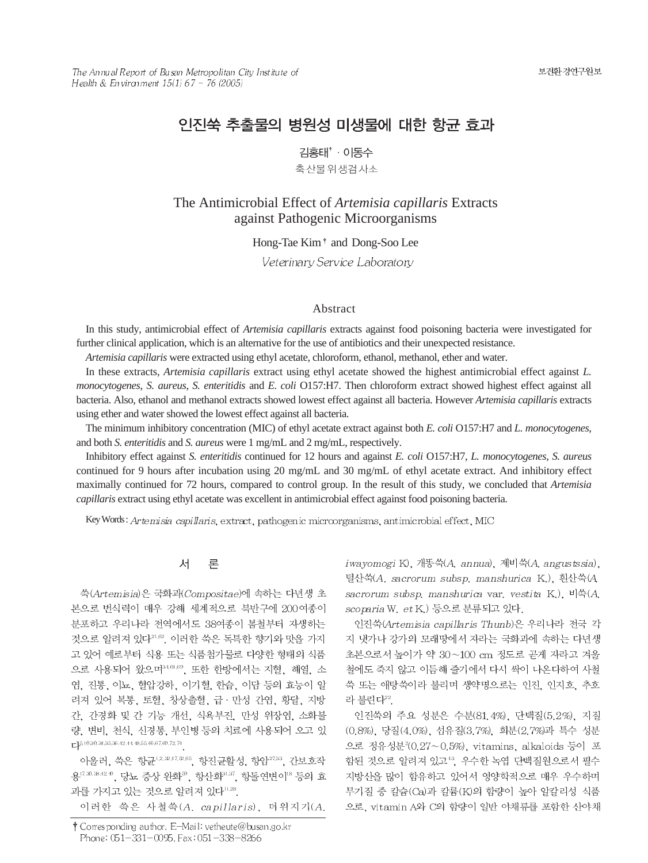The Annual Report of Busan Metropolitan City Institute of Health & Environment 15(1) 67 ~ 76 (2005)

# 인진쑥 추출물의 병원성 미생물에 대한 항균 효과

김홍태<sup>\*</sup> · 이동수 축산물위생검사소

The Antimicrobial Effect of *Artemisia capillaris* Extracts against Pathogenic Microorganisms

Hong-Tae Kim<sup>+</sup> and Dong-Soo Lee

Veterinary Service Laboratory

### Abstract

In this study, antimicrobial effect of *Artemisia capillaris* extracts against food poisoning bacteria were investigated for further clinical application, which is an alternative for the use of antibiotics and their unexpected resistance.

*Artemisia capillaris* were extracted using ethyl acetate, chloroform, ethanol, methanol, ether and water.

In these extracts, *Artemisia capillaris* extract using ethyl acetate showed the highest antimicrobial effect against *L. monocytogenes*, *S. aureus*, *S. enteritidis* and *E. coli* O157:H7. Then chloroform extract showed highest effect against all bacteria. Also, ethanol and methanol extracts showed lowest effect against all bacteria. However *Artemisia capillaris* extracts using ether and water showed the lowest effect against all bacteria.

The minimum inhibitory concentration (MIC) of ethyl acetate extract against both *E. coli* O157:H7 and *L. monocytogenes*, and both *S. enteritidis* and *S. aureus* were 1 mg/mL and 2 mg/mL, respectively.

Inhibitory effect against *S. enteritidis* continued for 12 hours and against *E. coli* O157:H7, *L. monocytogenes*, *S. aureus* continued for 9 hours after incubation using 20 mg/mL and 30 mg/mL of ethyl acetate extract. And inhibitory effect maximally continued for 72 hours, compared to control group. In the result of this study, we concluded that *Artemisia capillaris* extract using ethyl acetate was excellent in antimicrobial effect against food poisoning bacteria.

Key Words: Artemisia capillaris, extract, pathogenic microorganisms, antimicrobial effect, MIC

#### 对 론

쑥(Artemisia)은 국화과(Compositae)에 속하는 다년생 초 본으로 번식력이 매우 강해 세계적으로 북반구에 200여종이 분포하고 우리나라 전역에서도 38여종이 봄철부터 자생하는 것으로 알려져 있다<sup>21,62</sup>, 이러한 쑥은 독특한 향기와 맛을 가지 고 있어 예로부터 식용 또는 식품첨가물로 다양한 형태의 식품 으로 사용되어 왔으며34.64.69, 또한 한방에서는 지혈, 해열, 소 염, 진통, 이뇨, 혈압강하, 이기혈, 한습, 이담 등의 효능이 알 려져 있어 복통, 토혈, 창상출혈, 급 · 만성 간염, 황달, 지방 간, 간경화 및 간 기능 개선, 식욕부진, 만성 위장염, 소화불 량, 변비, 천식, 신경통, 부인병 등의 치료에 사용되어 오고 있  $L^{15,10,30,31,35,33,42,44,48,55,63,67,69,72,74}$ 

아울러, 쑥은 항균<sup>1,2,2,47,2,65</sup>, 항진균활성, 항암<sup>2733</sup>, 간보호작 용17.30.38.42 @, 당뇨 증상 완화<sup>30</sup>, 항산화31.37, 항돌연변이<sup>18</sup> 등의 효 과를 가지고 있는 것으로 알려져 있다"28.

이러한 쑥은 사철쑥(A. capillaris), 더위지기(A.

iwayomogi K), 개똥쑥(A, annua), 제비쑥(A, angustssia), 털산쑥(A. sacrorum subsp. manshurica K.), 흰산쑥(A. sacrorum subsp. manshurica var. vestita K.), 비쑥(A. scoparia W. et K.) 등으로 분류되고 있다.

인진쑥(Artemisia capillaris Thunb)은 우리나라 전국 각 지 냇가나 강가의 모래땅에서 자라는 국화과에 속하는 다년생 초본으로서 높이가 약 30~100 cm 정도로 곧게 자라고 겨울 철에도 죽지 않고 이듬해 줄기에서 다시 싹이 나온다하여 사철 쑥 또는 애탕쑥이라 불리며 생약명으로는 인진, 인지호, 추호 라 불린다22.

인진쑥의 주요 성분은 수분(81.4%), 단백질(5.2%), 지질 (0.8%), 당질(4.0%), 섬유질(3.7%), 회분(2.7%)과 특수 성분 으로 정유성분<sup>2</sup>(0.27~0.5%), vitamins, alkaloids 등이 포 함된 것으로 알려져 있고<sup>43</sup>, 우수한 녹엽 단백질원으로서 필수 지방산을 많이 함유하고 있어서 영양학적으로 매우 우수하며 무기질 중 칼슘(Ca)과 칼륨(K)의 함량이 높아 알칼리성 식품 으로, vitamin A와 C의 함량이 일반 야채류를 포함한 산야채

<sup>†</sup> Corresponding author. E-Mail: vetheute@busan.go.kr Phone: 051-331-0095, Fax: 051-338-8266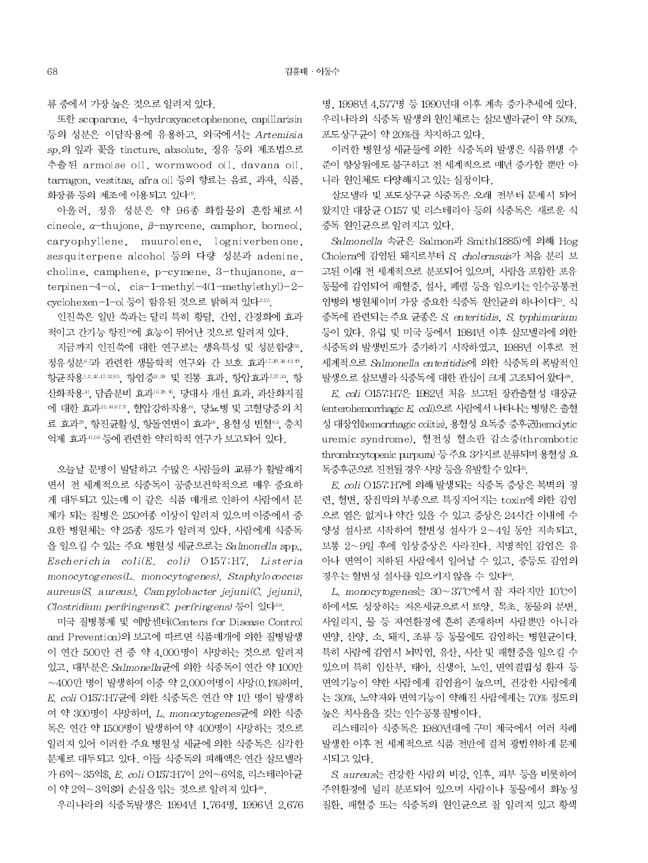류 중에서 가장 높은 것으로 알려져 있다.

또한 scoparone, 4-hydroxyacetophenone, capillarisin 등의 성분은 이담작용에 유용하고, 외국에서는 Artemisia sp.의 잎과 꽃을 tincture, absolute, 정유 등의 제조법으로 추출된 armoise oil, wormwood oil, davana oil, tarragon, vestitas, afra oil 등의 향료는 음료, 과자, 식품, 화장품 등의 제조에 이용되고 있다<sup>19</sup>.

아울러, 정유 성분은 약 96종 화합물의 혼합체로서 cineole,  $\alpha$ -thujone,  $\beta$ -myrcene, camphor, borneol, caryophyllene, muurolene, logniverbenone, ses quiterpene alcohol 등의 다량 성분과 adenine, choline, camphene, p-cymene, 3-thujanone,  $\alpha$ terpinen-4-ol.  $cis-1-$ methyl-4(1-methylethyl)-2cyclohexen-1-ol 등이 함유된 것으로 밝혀져 있다<sup>225</sup>.

인진쑥은 일반 쑥과는 달리 특히 황달, 간염, 간경화에 효과 적이고 간기능 항진26에 효능이 뛰어난 것으로 알려져 있다.

지금까지 인진쑥에 대한 연구로는 생육특성 및 성분함량 .. 정유성분67과 관련한 생물학적 연구와 간 보호 효과 17.30.38.42.49 항균작용12.3247.3265, 항염증3.38 및 진통 효과, 항암효과7.37.33, 항 산화작용31, 담즙분비 효과 5.35.4, 당대사 개선 효과, 과산화지질 에 대한 효과25.46572. 혈압강하작용61. 당뇨병 및 고혈당증의 치 료 효과®, 항진균활성, 항돌연변이 효과8, 용혈성 빈혈<sup>63</sup>, 충치 억제 효과456 등에 관련한 약리학적 연구가 보고되어 있다.

오늘날 문명이 발달하고 수많은 사람들의 교류가 활발해지 면서 전 세계적으로 식중독이 공중보건학적으로 매우 중요하 게 대두되고 있는데 이 같은 식품 매개로 인하여 사람에서 문 제가 되는 질병은 250여종 이상이 알려져 있으며 이중에서 중 요한 병원체는 약 25종 정도가 알려져 있다. 사람에게 식중독 을 일으킬 수 있는 주요 병원성 세균으로는 Salmonella spp., Escherichia coli(E. coli) O157:H7. Listeria  $monocytogenes(L, monocytogenes)$ , Staphylo $occus$  $aureus(S, aureus)$ . Campylobacter jejuni(C. jejuni). Clostridium perfringens  $(C.$  perfringens)  $\frac{1}{6}$ ol 있다<sup>68</sup>.

미국 질병통제 및 예방센터(Centers for Disease Control and Prevention)의 보고에 따르면 식품매개에 의한 질병발생 이 연간 500만 건 중 약 4,000명이 사망하는 것으로 알려져 있고, 대부분은 Salmonella균에 의한 식중독이 연간 약 100만  $\sim$  400만 명이 발생하여 이중 약 2,000여명이 사망(0.1%)하며, E. coli O157: H7균에 의한 식중독은 연간 약 1만 명이 발생하 여 약 300명이 사망하며, L. monocytogenes균에 의한 식중 독은 연간 약 1500명이 발생하여 약 400명이 사망하는 것으로 알려져 있어 이러한 주요 병원성 세균에 의한 식중독은 심각한 문제로 대두되고 있다. 이들 식중독의 피해액은 연간 살모넬라 가 6억~35억\$, E. coli O157:H7이 2억~6억\$, 리스테리아균 이 약 2억~3억\$의 손실을 입는 것으로 알려져 있다®.

우리나라의 식중독발생은 1994년 1,764명, 1996년 2,676

명. 1998년 4.577명 등 1990년대 이후 계속 증가추세에 있다. 우리나라의 식중독 발생의 원인체로는 살모넬라균이 약 50%. 포도상구균이 약 20%를 차지하고 있다.

이러한 병원성 세균들에 의한 식중독의 발생은 식품위생 수 준이 향상됨에도 불구하고 전 세계적으로 매년 증가할 뿐만 아 니라 원인체도 다양해지고 있는 실정이다.

살모넬라 및 포도상구균 식중독은 오래 전부터 문제시 되어 왔지만 대장균 O157 및 리스테리아 등의 식중독은 새로운 식 중독 원인균으로 알려지고 있다.

Salmonella 속균은 Salmon과 Smith(1885)에 의해 Hog Cholera에 감염된 돼지로부터 S. cholerasuis가 처음 분리 보 고된 이래 전 세계적으로 분포되어 있으며, 사람을 포함한 포유 동물에 감염되어 패혈증, 설사, 폐렴 등을 일으키는 인수공통전 염병의 병원체이며 가장 중요한 식중독 원인균의 하나이다". 식 중독에 관련되는 주요 균종은 S. enteritidis, S. typhimurium 등이 있다. 유럽 및 미국 등에서 1984년 이후 살모넬라에 의한 식중독의 발생빈도가 증가하기 시작하였고, 1988년 이후로 전 세계적으로 Salmonella enteritidis에 의한 식중독의 폭발적인 발생으로 살모넬라 식중독에 대한 관심이 크게 고조되어 왔다®.

E. coli O157:H7은 1982년 처음 보고된 장관출혈성 대장균 (enterohemorrhagic E coli)으로 사람에서 나타나는 병형은 출혈 성 대장염(hemorrhagic colitis), 용혈성 요독증 증후군(hemolytic uremic syndrome), 혈전성 혈소판 감소증(thrombotic thrombocytopenic purpura) 등 주요 3가지로 분류되며 용혈성 요 독증후군으로 진전될 경우 사망 등을 유발할 수 있다".

E. coli O157: H7에 의해 발생되는 식중독 증상은 복벽의 경 련, 혈변, 장점막의 부종으로 특징지어지는 toxin에 의한 감염 으로 열은 없거나 약간 있을 수 있고 증상은 24시간 이내에 수 양성 설사로 시작하여 혈변성 설사가 2~4일 동안 지속되고, 보통 2~9일 후에 임상증상은 사라진다. 치명적인 감염은 유 아나 면역이 저하된 사람에서 일어날 수 있고, 중등도 감염의 경우는 혈변성 설사를 일으키지 않을 수 있다<sup>88</sup>.

L. monocytogenes는 30~37°C에서 잘 자라지만 10°C이 하에서도 성장하는 저온세균으로서 토양, 목초, 동물의 분변, 사일리지, 물 등 자연환경에 흔히 존재하며 사람뿐만 아니라 면양, 산양, 소, 돼지, 조류 등 동물에도 감염하는 병원균이다. 특히 사람에 감염시 뇌막염, 유산, 사산 및 패혈증을 일으킬 수 있으며 특히 임산부, 태아, 신생아, 노인, 면역결핍성 환자 등 면역기능이 약한 사람에게 감염율이 높으며, 건강한 사람에게 는 30%, 노약자와 면역기능이 약해진 사람에게는 70% 정도의 높은 치사율을 갖는 인수공통질병이다.

리스테리아 식중독은 1980년대에 구미 제국에서 여러 차례 발생한 이후 전 세계적으로 식품 전반에 걸쳐 광번위하게 문제 시되고 있다.

S. aureus는 건강한 사람의 비강. 인후. 피부 등을 비롯하여 주위환경에 널리 분포되어 있으며 사람이나 동물에서 화농성 질환, 패혈증 또는 식중독의 원인균으로 잘 알려져 있고 황색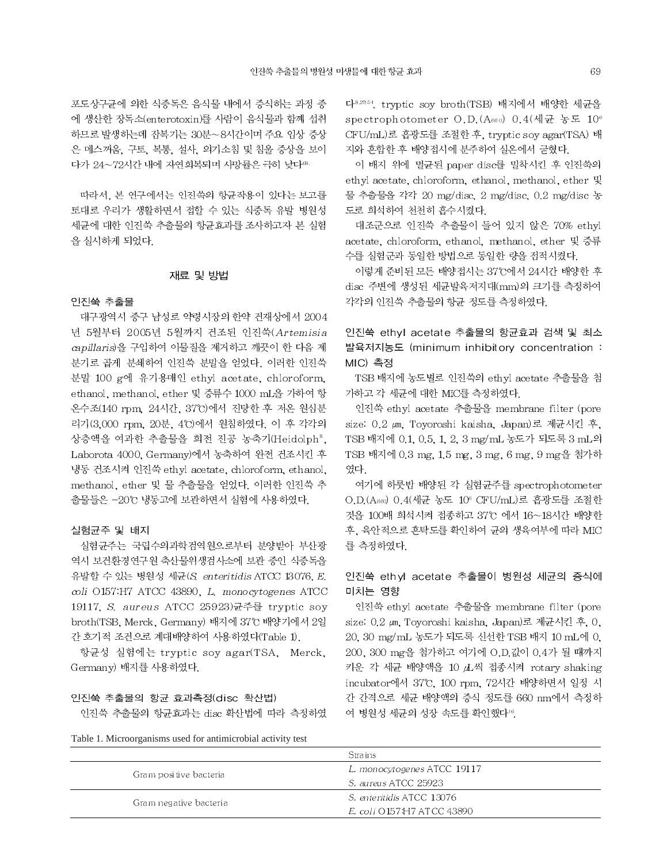포도상구균에 의한 식중독은 음식물 내에서 증식하는 과정 중 에 생산한 장독소(enterotoxin)를 사람이 음식물과 함께 섭취 하므로 발생하는데 잠복기는 30분~8시간이며 주요 임상 증상 은 메스꺼움, 구토, 복통, 설사, 의기소침 및 침울 증상을 보이 다가 24~72시간 내에 자연회복되며 사망률은 극히 낮다®

따라서, 본 연구에서는 인진쑥의 항균작용이 있다는 보고를 토대로 우리가 생활하면서 접할 수 있는 식중독 유발 병원성 세균에 대한 인진쑥 추출물의 항균효과를 조사하고자 본 실험 을 실시하게 되었다.

# 재료 및 방법

### 인진쑥 추출물

대구광역시 중구 남성로 약령시장의 한약 건재상에서 2004 년 5월부터 2005년 5월까지 건조된 인진쑥(Artemisia capillaris)을 구입하여 이물질을 제거하고 깨끗이 한 다음 제 분기로 곱게 분쇄하여 인진쑥 분말을 얻었다. 이러한 인진쑥 분말 100 g에 유기용매인 ethyl acetate, chloroform, ethanol, methanol, ether 및 증류수 1000 mL을 가하여 항 온수조(140 rpm 24시간, 37°C)에서 진탕한 후 저온 원심분 리기(3,000 rpm, 20분, 4℃)에서 원침하였다. 이 후 각각의 상층액을 여과한 추출물을 회전 진공 농축기(Heidolph<sup>a</sup>, Laborota 4000, Germany)에서 농축하여 완전 건조시킨 후 냉동 건조시켜 인진쑥 ethyl acetate, chloroform, ethanol, methanol, ether 및 물 추출물을 얻었다. 이러한 인진쑥 추 출물들은 -20℃ 냉동고에 보관하면서 실험에 사용하였다.

### 실험균주 및 배지

실험균주는 국립수의과학검역원으로부터 분양받아 부산광 역시 보건환경연구원 축산물위생검사소에 보관 중인 식중독을 유발할 수 있는 병원성 세균(S. enteritidis ATCC 13076, E. coli O157.H7 ATCC 43890, L. monocytogenes ATCC 19117, S. aureus ATCC 25923)균주를 tryptic soy broth(TSB, Merck, Germany) 배지에 37℃ 배양기에서 2일 간 호기적 조건으로 계대배양하여 사용하였다(Table 1).

항균성 실험에는 tryptic soy agar(TSA, Merck, Germany) 배지를 사용하였다.

### 인진쑥 추출물의 항균 효과측정(disc 확산법)

인진쑥 추출물의 항균효과는 disc 확산법에 따라 측정하였

Table 1. Microorganisms used for antimicrobial activity test

다<sup>8,29,54</sup>, tryptic soy broth(TSB) 배지에서 배양한 세균을 spectrophotometer O.D. (Asso) 0.4 (세균 농도 10<sup>6</sup> CFU/mL)로 흡광도를 조절한 후, tryptic soy agar(TSA) 배 지와 혼합한 후 배양접시에 분주하여 실온에서 굳혔다.

69

이 배지 위에 멸균된 paper disc를 밀착시킨 후 인진쑥의 ethyl acetate, chloroform, ethanol, methanol, ether 및 물 추출물을 각각 20 mg/disc, 2 mg/disc, 0.2 mg/disc 농 도로 희석하여 천천히 흡수시켰다.

대조군으로 인진쑥 추출물이 들어 있지 않은 70% ethyl acetate, chloroform, ethanol, methanol, ether 및 증류 수를 실험군과 동일한 방법으로 동일한 량을 점적시켰다.

이렇게 준비된 모든 배양접시는 37℃에서 24시간 배양한 후 disc 주변에 생성된 세균발육저지대(mm)의 크기를 측정하여 각각의 인진쑥 추출물의 항균 정도를 측정하였다.

인진쑥 ethyl acetate 추출물의 항균효과 검색 및 최소 발육저지농도 (minimum inhibitory concentration : MIC) 측정

TSB 배지에 농도별로 인진쑥의 ethyl acetate 추출물을 첨 가하고 각 세균에 대한 MIC를 측정하였다.

인진쑥 ethyl acetate 추출물을 membrane filter (pore size: 0.2 μm, Toyoroshi kaisha, Japan)로 제균시킨 후, TSB 배지에 0.1, 0.5, 1, 2, 3 mg/mL 농도가 되도록 3 mL의 TSB 배지에 0.3 mg, 1.5 mg, 3 mg, 6 mg, 9 mg을 첨가하 였다.

여기에 하룻밤 배양된 각 실험균주를 spectrophotometer O.D.(A660) 0.4(세균 농도 10<sup>6</sup> CFU/mL)로 흡광도를 조절한 것을 100배 희석시켜 접종하고 37°C 에서 16~18시간 배양한 후, 육안적으로 혼탁도를 확인하여 균의 생육여부에 따라 MIC 를 측정하였다.

# 인진쑥 ethyl acetate 추출물이 병원성 세균의 증식에 미치는 영향

인진쑥 ethyl acetate 추출물을 membrane filter (pore size: 0.2 μm. Toyoroshi kaisha, Japan)로 제균시킨 후, 0. 20, 30 mg/mL 농도가 되도록 신선한 TSB 배지 10 mL에 0, 200, 300 mg을 첨가하고 여기에 O.D.값이 0.4가 될 때까지 키운 각 세균 배양액을 10 山씩 접종시켜 rotary shaking incubator에서 37°C, 100 rpm, 72시간 배양하면서 일정 시 간 간격으로 세균 배양액의 증식 정도를 660 nm에서 측정하 여 병원성 세균의 성장 속도를 확인했다<sup>16</sup>.

Strains L. monocytogenes ATCC 19117 Gram positive bacteria S. aureus ATCC 25923 S. enteritidis ATCC 13076 Gram negative bacteria E. coli O157:H7 ATCC 43890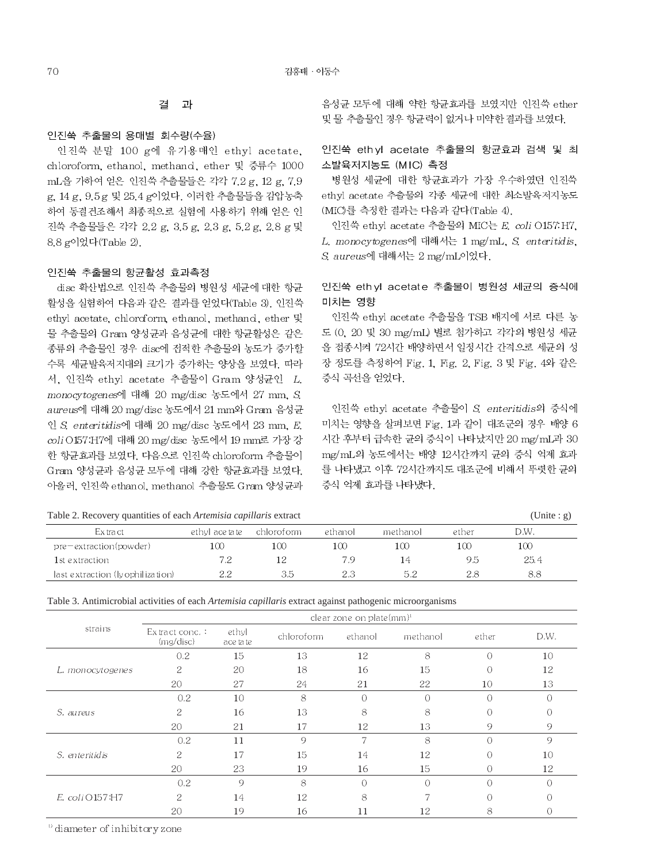김홍태 · 이동수

#### 결 과

## 인진쑥 추출물의 용매별 회수량(수율)

인진쑥 분말 100 g에 유기용매인 ethyl acetate, chloroform, ethanol, methanol, ether 및 증류수 1000 mL을 가하여 얻은 인진쑥 추출물들은 각각 7.2 g, 12 g, 7.9 g. 14 g. 9.5 g 및 25.4 g이었다. 이러한 추출물들을 감압농축 하여 동결건조해서 최종적으로 실험에 사용하기 위해 얻은 인 진쑥 추출물들은 각각 2.2 g, 3.5 g, 2.3 g, 5.2 g, 2.8 g 및 8.8 g이었다(Table 2).

### 인진쑥 추출물의 항균활성 효과측정

disc 확산법으로 인진쑥 추출물의 병원성 세규에 대한 항규 활성을 실험하여 다음과 같은 결과를 얻었다(Table 3). 인진쑥 ethyl acetate, chloroform, ethanol, methanol, ether 및 물 추출물의 Gram 양성균과 음성균에 대한 항균활성은 같은 종류의 추출물인 경우 disc에 접적한 추출물의 농도가 증가할 수록 세균발육저지대의 크기가 증가하는 양상을 보였다. 따라 서, 인진쑥 ethyl acetate 추출물이 Gram 양성균인 L. monocytogenes에 대해 20 mg/disc 농도에서 27 mm, S. aureus에 대해 20 mg/disc 농도에서 21 mm와 Gram 음성균 인 S. enteritidis에 대해 20 mg/disc 농도에서 23 mm, E. coli O157: H7에 대해 20 mg/disc 농도에서 19 mm로 가장 강 한 항균효과를 보였다. 다음으로 인진쑥 chloroform 추출물이 Gram 양성균과 음성균 모두에 대해 강한 항균효과를 보였다. 아울러, 인진쑥 ethanol, methanol 추출물도 Gram 양성균과 음성균 모두에 대해 약한 항균효과를 보였지만 인진쑥 ether 및 물 추출물인 경우 항균력이 없거나 미약한 결과를 보였다.

# 인진쑥 ethyl acetate 추출물의 항균효과 검색 및 최 소발육저지농도 (MIC) 측정

병원성 세균에 대한 항균효과가 가장 우수하였던 인진쑥 ethyl acetate 추출물의 각종 세균에 대한 최소발육저지농도 (MIC)를 측정한 결과는 다음과 같다(Table 4).

인진쑥 ethyl acetate 추출물의 MIC는 E. coli O157.H7, L. monocytogenes에 대해서는 1 mg/mL, S. enteritidis, S. aureus에 대해서는 2 mg/mL이었다.

# 인진쑥 ethyl acetate 추출물이 병원성 세균의 증식에 미치는 영향

인진쑥 ethyl acetate 추출물을 TSB 배지에 서로 다른 농 도 (0, 20 및 30 mg/mL) 별로 첨가하고 각각의 병원성 세균 을 접종시켜 72시간 배양하면서 일정시간 간격으로 세균의 성 장 정도를 측정하여 Fig. 1, Fig. 2, Fig. 3 및 Fig. 4와 같은 증식 곡선을 얻었다.

인진쑥 ethyl acetate 추출물이 S enteritidis의 증식에 미치는 영향을 살펴보면 Fig. 1과 같이 대조군의 경우 배양 6 시간 후부터 급속한 균의 증식이 나타났지만 20 mg/mL과 30 mg/mL의 농도에서는 배양 12시간까지 균의 증식 억제 효과 를 나타냈고 이후 72시간까지도 대조군에 비해서 뚜렷한 균의 증식 억제 효과를 나타냈다.

| Table 2. Recovery quantities of each <i>Artemisia capillaris</i> extract |                 |            |         |          |       |      | (Unite : g) |
|--------------------------------------------------------------------------|-----------------|------------|---------|----------|-------|------|-------------|
| Extract                                                                  | ethyl ace ta te | chloroform | ethanol | methanol | ether | D.W. |             |
| $pre-extraction(power)$                                                  | 100             | 100        | 100     | 100      | 100   | 100  |             |
| 1st extraction                                                           | 7.2             | 12         | 7.9     | 14       | 9.5   | 25.4 |             |
| last extraction (ly ophilization)                                        | つつ              | 3.5        | 2.3     | 5.2      | 2.8   | 8.8  |             |

Table 3. Antimicrobial activities of each Artemisia capillaris extract against pathogenic microorganisms

|                     | clear zone on plate(mm) <sup>1</sup> |                    |            |                |                |           |           |  |
|---------------------|--------------------------------------|--------------------|------------|----------------|----------------|-----------|-----------|--|
| strains             | $Ex$ tract conc.:<br>(mg/disc)       | ethyl<br>ace ta te | chloroform | ethanol        | methanol       | ether     | D.W.      |  |
| L. monocytogenes    | 0.2                                  | 15                 | 13         | 12             | 8              | $\bigcap$ | 10        |  |
|                     | 2                                    | 20                 | 18         | 16             | 15             | $\bigcap$ | 12        |  |
|                     | 20                                   | 27                 | 24         | 21             | 22             | 10        | 13        |  |
| S. aureus           | 0.2                                  | 10                 | 8          | $\bigcap$      | $\overline{O}$ | $\bigcap$ | $\bigcap$ |  |
|                     | 2                                    | 16                 | 13         | 8              | 8              | $\Omega$  | ∩         |  |
|                     | 20                                   | 21                 | 17         | 12             | 13             | 9         | 9         |  |
|                     | 0.2                                  | 11                 | 9          | $\overline{7}$ | 8              | $\bigcap$ | $\Omega$  |  |
| S. enteritidis      | 2                                    | 17                 | 15         | 14             | 12             | $\bigcap$ | 10        |  |
|                     | 20                                   | 23                 | 19         | 16             | 15             | $\Omega$  | 12        |  |
| $E.$ coli $O157:HT$ | 0.2                                  | 9                  | 8          | $\bigcap$      | $\bigcap$      | $\bigcap$ | C         |  |
|                     | 2                                    | 14                 | 12         | 8              | 7              | $\Omega$  | ∩         |  |
|                     | 20                                   | 19                 | 16         | 11             | 12             | 8         |           |  |

<sup>1</sup> diameter of inhibitory zone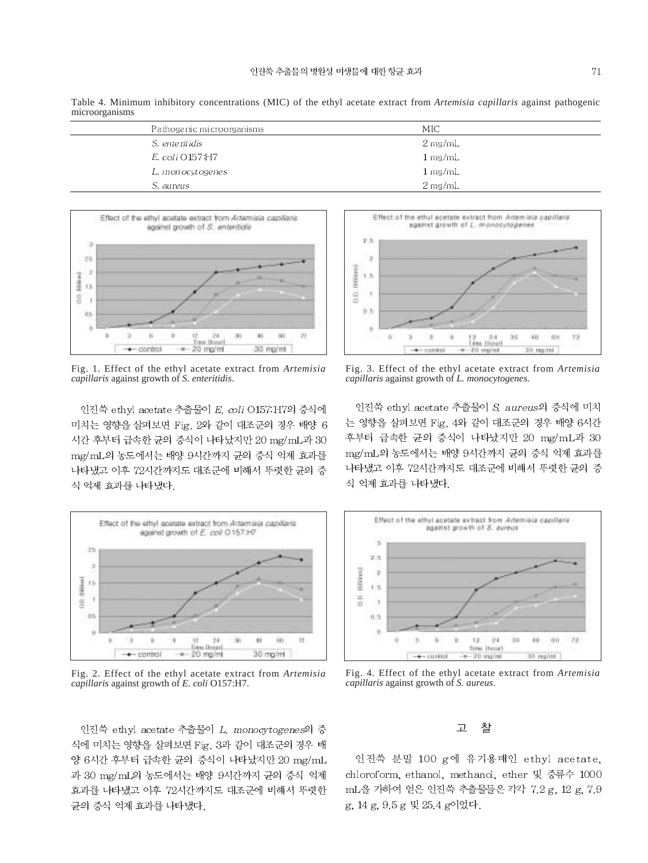Table 4. Minimum inhibitory concentrations (MIC) of the ethyl acetate extract from *Artemisia capillaris* against pathogenic microorganisms

| Pa thoge ni c mi croorganisms | MIC                  |
|-------------------------------|----------------------|
| S. enteritidis                | $2 \,\mathrm{mg/mL}$ |
| E. coli O157:H7               | $1 \,\mathrm{mg/mL}$ |
| L. monocytogenes              | $1 \,\mathrm{mg/mL}$ |
| S. aureus                     | $2 \,\mathrm{mg/mL}$ |



Fig. 1. Effect of the ethyl acetate extract from *Artemisia capillaris* against growth of *S. enteritidis*.

인진쑥 ethyl acetate 추출물이 E. coli O157: H7의 증식에 미치는 영향을 살펴보면 Fig. 2와 같이 대조군의 경우 배양 6 시간 후부터 급속한 균의 증식이 나타났지만 20 mg/mL과 30 mg/mL의 농도에서는 배양 9시간까지 균의 증식 억제 효과를 나타냈고 이후 72시간까지도 대조군에 비해서 뚜렷한 균의 증 식 억제 효과를 나타냈다.



Fig. 2. Effect of the ethyl acetate extract from *Artemisia capillaris* against growth of *E. coli* O157:H7.

인진쑥 ethyl acetate 추출물이 L. monocytogenes의 증 식에 미치는 영향을 살펴보면 Fig. 3과 같이 대조군의 경우 배 양 6시간 후부터 급속한 균의 증식이 나타났지만 20 mg/mL 과 30 mg/mL의 농도에서는 배양 9시간까지 균의 증식 억제 효과를 나타냈고 이후 72시간까지도 대조군에 비해서 뚜렷한 균의 증식 억제 효과를 나타냈다.



Fig. 3. Effect of the ethyl acetate extract from *Artemisia capillaris* against growth of *L. monocytogenes*.

인진쑥 ethyl acetate 추출물이 S aureus의 증식에 미치 는 영향을 살펴보면 Fig. 4와 같이 대조군의 경우 배양 6시간 후부터 급속한 균의 증식이 나타났지만 20 mg/mL과 30 mg/mL의 농도에서는 배양 9시간까지 균의 증식 억제 효과를 나타냈고 이후 72시간까지도 대조군에 비해서 뚜렷한 균의 증 식 억제 효과를 나타냈다.



Fig. 4. Effect of the ethyl acetate extract from *Artemisia capillaris* against growth of *S. aureus*.

#### $\overline{\mathbb{L}}$ 찰

인진쑥 분말 100 g에 유기용매인 ethyl acetate. chloroform, ethanol, methanol, ether 및 증류수 1000 mL을 가하여 얻은 인진쑥 추출물들은 각각 7.2 g, 12 g, 7.9 g, 14 g, 9.5 g 및 25.4 g이었다.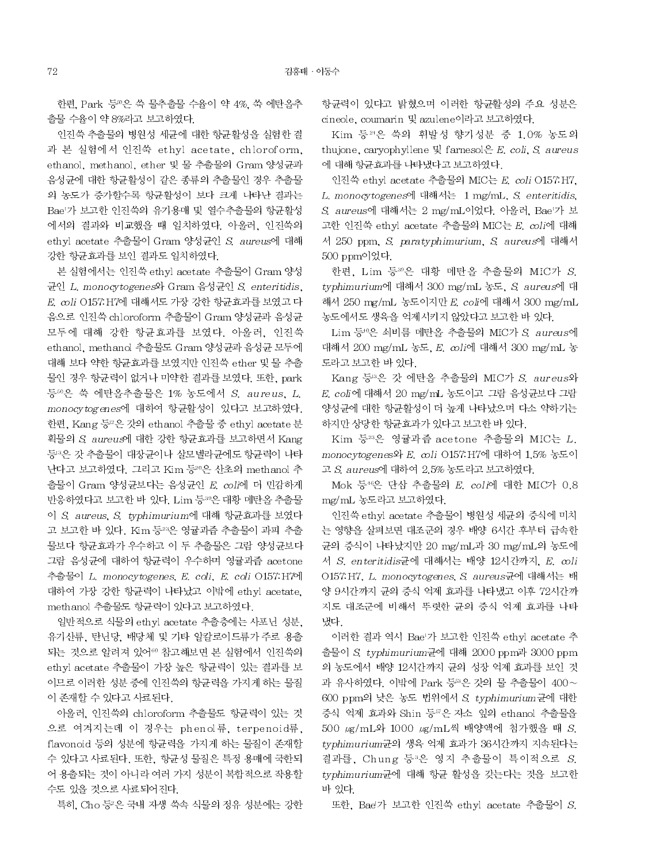한편, Park 등 은 쑥 물추출물 수율이 약 4%, 쑥 에탄올추 출물 수율이 약 8%라고 보고하였다.

인진쑥 추출물의 병원성 세균에 대한 항균활성을 실험한 결 과 본 실험에서 인진쑥 ethyl acetate, chloroform, ethanol, methanol, ether 및 물 추출물의 Gram 양성균과 음성균에 대한 항균활성이 같은 종류의 추출물인 경우 추출물 의 농도가 증가할수록 항균활성이 보다 크게 나타난 결과는 Bae'가 보고한 인진쑥의 유기용매 및 열수추출물의 항균활성 에서의 결과와 비교했을 때 일치하였다. 아울러, 인진쑥의 ethyl acetate 추출물이 Gram 양성균인 S. aureus에 대해 강한 항균효과를 보인 결과도 일치하였다.

본 실험에서는 인진쑥 ethyl acetate 추출물이 Gram 양성 균인 L. monocytogenes와 Gram 음성균인 S. enteritidis, E. coli O157: H7에 대해서도 가장 강한 항균효과를 보였고 다 음으로 인진쑥 chloroform 추출물이 Gram 양성균과 음성균 모두에 대해 강한 항균효과를 보였다. 아울러, 인진쑥 ethanol, methand 추출물도 Gram 양성균과 음성균 모두에 대해 보다 약한 항균효과를 보였지만 인진쑥 ether 및 물 추출 물인 경우 항균력이 없거나 미약한 결과를 보였다. 또한, park 등50은 쑥 에탄올추출물은 1% 농도에서 S. aureus, L. monocy togenes에 대하여 항균활성이 있다고 보고하였다. 한편, Kang 등<sup>12</sup>은 갓의 ethanol 추출물 중 ethyl acetate 분 획물의 S. aureus에 대한 강한 항균효과를 보고하면서 Kang 등3은 갓 추출물이 대장균이나 살모넬라균에도 항균력이 나타 난다고 보고하였다. 그리고 Kim 등 이은 산초의 methanol 추 출물이 Gram 양성균보다는 음성균인 E. coli에 더 민감하게 반응하였다고 보고한 바 있다. Lim 등30은 대황 메탄올 추출물 이 S. aureus, S. typhimurium에 대해 항균효과를 보였다 고 보고한 바 있다. Kim 등 3은 영귤과즙 추출물이 과피 추출 물보다 항균효과가 우수하고 이 두 추출물은 그람 양성균보다 그람 음성균에 대하여 항균력이 우수하며 영귤과즙 acetone 추출물이 L. monocytogenes, E. coli, E. coli O157: H7에 대하여 가장 강한 항균력이 나타났고 이밖에 ethyl acetate. methanol 추출물도 항균력이 있다고 보고하였다.

일반적으로 식물의 ethyl acetate 추출층에는 사포닌 성분. 유기산류, 탄닌당, 배당체 및 기타 알칼로이드류가 주로 용출 되는 것으로 알려져 있어<sup>60</sup> 참고해보면 본 실험에서 인진쑥의 ethyl acetate 추출물이 가장 높은 항균력이 있는 결과를 보 이므로 이러한 성분 중에 인진쑥의 항균력을 가지게 하는 물질 이 존재할 수 있다고 사료된다.

아울러, 인진쑥의 chloroform 추출물도 항균력이 있는 것 으로 여겨지는데 이 경우는 phenol류, terpenoid류, flavonoid 등의 성분에 항균력을 가지게 하는 물질이 존재할 수 있다고 사료된다. 또한, 항균성 물질은 특정 용매에 국한되 어 용출되는 것이 아니라 여러 가지 성분이 복합적으로 작용할 수도 있을 것으로 사료되어진다.

특히, Cho 등'은 국내 자생 쑥속 식물의 정유 성분에는 강한

항균력이 있다고 밝혔으며 이러한 항균활성의 주요 성분은 cineole, coumarin 및 azulene이라고 보고하였다.

Kim 등<sup>24</sup>은 쑥의 휘발성 향기성분 중 1.0% 농도의 thujone, caryophyllene  $\mathcal{L}$  farnesol $\mathcal{L}$  E. coli, S. aureus 에 대해 항균효과를 나타냈다고 보고하였다.

인진쑥 ethyl acetate 추출물의 MIC는 E. coli O157 H7. L. monocytogenes에 대해서는 1 mg/mL, S. enteritidis. S. aureus에 대해서는 2 mg/mL이었다. 아울러, Bae'가 보 고한 인진쑥 ethyl acetate 추출물의 MIC는 E. coli에 대해 서 250 ppm, S. paratyphimurium, S. aureus에 대해서 500 ppm이었다.

한편, Lim 등30은 대황 메탄올 추출물의 MIC가 S. typhimurium에 대해서 300 mg/mL 농도, S. aureus에 대 해서 250 mg/mL 농도이지만 E, coli에 대해서 300 mg/mL 농도에서도 생육을 억제시키지 않았다고 보고한 바 있다.

Lim 등 은 쇠비름 메탄올 추출물의 MIC가 S. aureus에 대해서 200 mg/mL 농도, E. coli에 대해서 300 mg/mL 농 도라고 보고한 바 있다.

Kang 등 은 갓 에탄올 추출물의 MIC가 S. aureus와 E. coli에 대해서 20 mg/mL 농도이고 그람 음성균보다 그람 양성균에 대한 항균활성이 더 높게 나타났으며 다소 약하기는 하지만 상당한 항균효과가 있다고 보고한 바 있다.

Kim 등32은 영귤과즙 acetone 추출물의 MIC는 L. monocytogenes와 E. coli O157: H7에 대하여 1.5% 농도이 고 S. aureus에 대하여 2.5% 농도라고 보고하였다.

Mok 등<sup>46</sup>은 단삼 추출물의 E. coli에 대한 MIC가 0.8 mg/mL 농도라고 보고하였다.

인진쑥 ethyl acetate 추출물이 병원성 세균의 증식에 미치 는 영향을 살펴보면 대조군의 경우 배양 6시간 후부터 급속한 균의 증식이 나타났지만 20 mg/mL과 30 mg/mL의 농도에 서 S. enteritidis균에 대해서는 배양 12시간까지, E. coli O157:H7, L. monocytogenes, S. aureus균에 대해서는 배 양 9시간까지 균의 증식 억제 효과를 나타냈고 이후 72시간까 지도 대조군에 비해서 뚜렷한 균의 증식 억제 효과를 나타 냈다.

이러한 결과 역시 Bae'가 보고한 인진쑥 ethyl acetate 추 출물이 S. typhimurium균에 대해 2000 ppm과 3000 ppm 의 농도에서 배양 12시간까지 균의 성장 억제 효과를 보인 것 과 유사하였다. 이밖에 Park 등교은 갓의 물 추출물이 400~ 600 ppm의 낮은 농도 법위에서 S. typhimurium 균에 대한 증식 억제 효과와 Shin 등™은 자소 잎의 ethanol 추출물을 500 µg/mL와 1000 µg/mL씩 배양액에 첨가했을 때 S. typhimurium균의 생육 억제 효과가 36시간까지 지속된다는 결과를, Chung 등 음은 영지 추출물이 특이적으로 S. typhimurium균에 대해 항균 활성을 갖는다는 것을 보고한 바 있다.

또한, Bae'가 보고한 인진쑥 ethyl acetate 추출물이 S.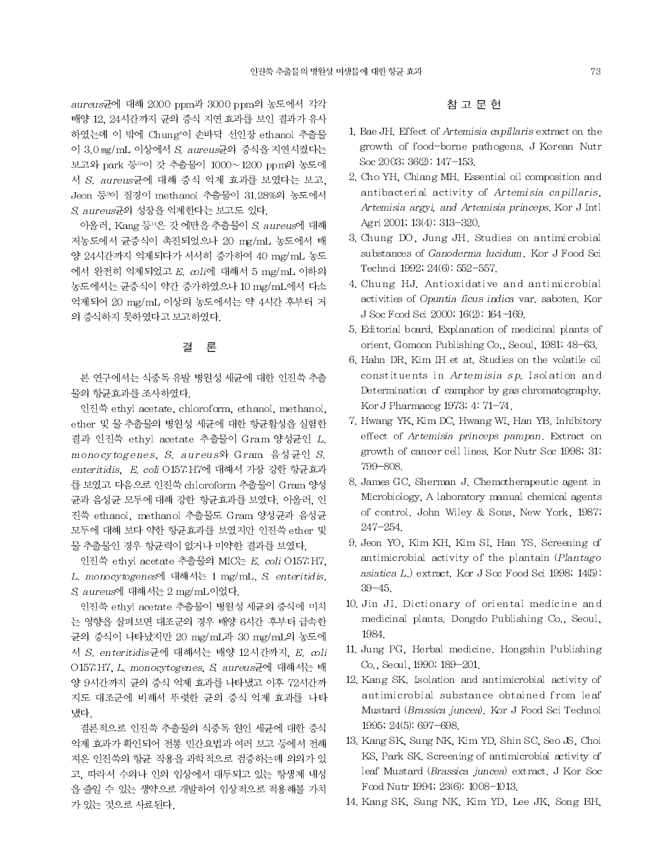aureus균에 대해 2000 ppm과 3000 ppm의 농도에서 각각 배양 12, 24시간까지 균의 증식 지연 효과를 보인 결과가 유사 하였는데 이 밖에 Chung'이 손바닥 선인장 ethanol 추출물 이 3.0 mg/mL 이상에서 S. aureus균의 증식을 지연시켰다는 보고와 park 등 하이 갓 추출물이 1000~1200 ppm의 농도에 서 S. aureus균에 대해 증식 억제 효과를 보였다는 보고, Jeon 등%이 질경이 methanol 추출물이 31,28%의 농도에서 S. aureus균의 성장을 억제한다는 보고도 있다.

아울러, Kang 등록은 갓 에탄올 추출물이 S. aureus에 대해 저농도에서 균증식이 촉진되었으나 20 mg/mL 농도에서 배 양 24시간까지 억제되다가 서서히 증가하여 40 mg/mL 농도 에서 완전히 억제되었고  $E$ ,  $col$ i에 대해서 5 mg/mL 이하의 농도에서는 균증식이 약간 증가하였으나 10 mg/mL에서 다소 억제되어 20 mg/mL 이상의 농도에서는 약 4시간 후부터 거 의 증식하지 못하였다고 보고하였다.

#### 결 론

본 연구에서는 식중독 유발 병원성 세균에 대한 인진쑥 추출 물의 항균효과를 조사하였다.

인진쑥 ethyl acetate, chloroform, ethanol, methanol, ether 및 물 추출물의 병원성 세균에 대한 항균활성을 실험한 결과 인진쑥 ethyl acetate 추출물이 Gram 양성균인 L. monocytogenes, S. aureus와 Gram 음성균인 S. enteritidis, E. coli O157 H7에 대해서 가장 강한 항균효과 를 보였고 다음으로 인진쑥 chloroform 추출물이 Gram 양성 균과 음성균 모두에 대해 강한 항균효과를 보였다. 아울러, 인 진쑥 ethanol, methanol 추출물도 Gram 양성균과 음성균 모두에 대해 보다 약한 항균효과를 보였지만 인진쑥 ether 및 물 추출물인 경우 항균력이 없거나 미약한 결과를 보였다.

인진쑥 ethyl acetate 추출물의 MIC는 E. coli O157.H7. L. monocytogenes에 대해서는 1 mg/mL, S. enteritidis, S aureus에 대해서는 2 mg/mL이었다.

인진쑥 ethyl acetate 추출물이 병원성 세균의 증식에 미치 는 영향을 살펴보면 대조군의 경우 배양 6시간 후부터 급속한 균의 증식이 나타났지만 20 mg/mL과 30 mg/mL의 농도에 서 S. enteritidis균에 대해서는 배양 12시간까지, E. coli O157: H7, L. monocytogenes, S. aureus균에 대해서는 배 양 9시간까지 균의 증식 억제 효과를 나타냈고 이후 72시간까 지도 대조군에 비해서 뚜렷한 균의 증식 억제 효과를 나타 냈다.

결론적으로 인진쑥 추출물의 식중독 원인 세균에 대한 증식 억제 효과가 확인되어 전통 민간요법과 여러 보고 등에서 전해 져온 인진쑥의 항균 작용을 과학적으로 검증하는데 의의가 있 고, 따라서 수의나 인의 임상에서 대두되고 있는 항생제 내성 을 줄일 수 있는 생약으로 개발하여 입상적으로 적용해볼 가치 가 있는 것으로 사료된다.

# 참 고 문 헌

- 1. Bae JH. Effect of Artemisia capillaris extract on the growth of food-borne pathogens, J Korean Nutr Soc 2003; 36(2): 147-153.
- 2. Cho YH, Chiang MH, Essential oil composition and antibacterial activity of Artemisia capillaris, Artemisia argyi, and Artemisia princeps. Kor J Intl Agri 2001, 13(4): 313-320.
- 3. Chung DO, Jung JH. Studies on antimicrobial substances of Ganoderma lucidum. Kor J Food Sci Technol 1992, 24(6). 552-557.
- 4. Chung HJ. Antioxidative and antimicrobial activities of Opuntia ficus indica var. saboten. Kor J Soc Food Sci 2000; 16(2): 164-169.
- 5. Editorial board, Explanation of medicinal plants of orient. Gomoon Publishing Co., Seoul, 1981; 48-63.
- 6. Hahn DR, Kim IH et at. Studies on the volatile oil constituents in Artemisia sp. Isolation and Determination of camphor by gas chromatography. Kor J Pharmacog 1973, 4.71-74.
- 7. Hwang YK, Kim DC, Hwang WI, Han YB, Inhibitory effect of Artemisia princeps pampan. Extract on growth of cancer cell lines. Kor Nutr Soc 1998; 31: 799-808.
- 8. James GC, Sherman J. Chemotherapeutic agent in Microbiology, A laboratory manual chemical agents of control. John Wiley & Sons. New York. 1987,  $247 - 254$ .
- 9. Jeon YO, Kim KH, Kim SI, Han YS, Screening of antimicrobial activity of the plantain (Plantago asiatica L.) extract. Kor J Soc Food Sci 1998; 14(5):  $39 - 45$ .
- 10. Jin JI. Dictionary of oriental medicine and medicinal plants. Dongdo Publishing Co., Seoul, 1984.
- 11. Jung PG, Herbal medicine. Hongshin Publishing Co., Secul, 1990; 189-201.
- 12. Kang SK, Isolation and antimicrobial activity of antimicrobial substance obtained from leaf Mustard (Brassica juncea). Kor J Food Sci Technol 1995; 24(5): 697-698.
- 13. Kang SK, Sung NK, Kim YD, Shin SC, Seo JS, Choi KS, Park SK, Screening of antimicrobial activity of leaf Mustard (Brassica juncea) extract. J Kor Soc Food Nutr 1994, 23(6). 1008-1013.
- 14. Kang SK, Sung NK, Kim YD, Lee JK, Song BH,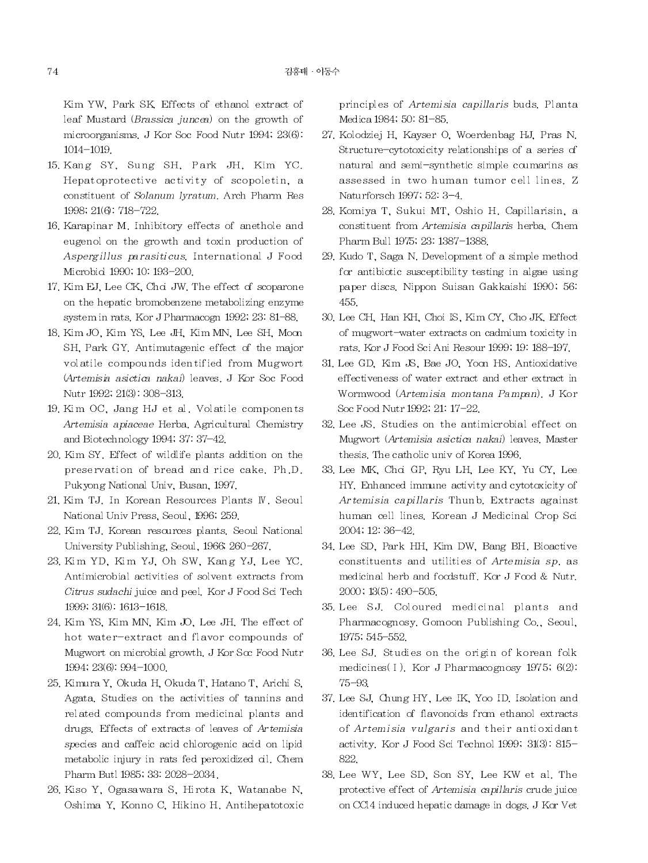Kim YW, Park SK, Effects of ethanol extract of leaf Mustard (Brassica juncea) on the growth of microorganisms. J Kor Soc Food Nutr 1994, 23(6).  $1014 - 1019.$ 

- 15. Kang SY, Sung SH, Park JH, Kim YC. Hepatoprotective activity of scopoletin, a constituent of Solanum lyratum, Arch Pharm Res 1998; 21(6): 718-722.
- 16. Karapinar M. Inhibitory effects of anethole and eugenol on the growth and toxin production of Aspergillus parasiticus, International J Food Microbid 1990, 10. 193-200.
- 17. Kim EJ, Lee CK, Choi JW. The effect of scoparone on the hepatic bromobenzene metabolizing enzyme system in rats. Kor J Pharmacogn 1992, 23: 81-88.
- 18. Kim JO, Kim YS, Lee JH, Kim MN, Lee SH, Moon SH, Park GY. Antimutagenic effect of the major volatile compounds identified from Mugwort (Artemisia asictica nakai) leaves. J Kor Soc Food Nutr 1992; 21(3): 308-313.
- 19. Kim OC, Jang HJ et al. Volatile components Artemisia apiaceae Herba, Agricultural Chemistry and Biotechnology 1994; 37: 37-42.
- 20. Kim SY. Effect of wildlife plants addition on the preservation of bread and rice cake. Ph.D. Pukyong National Univ, Busan, 1997.
- 21. Kim TJ. In Korean Resources Plants IV. Seoul National Univ Press, Seoul, 1996, 259,
- 22. Kim TJ. Korean resources plants. Seoul National University Publishing, Seoul, 1966, 260-267.
- 23. Kim YD, Kim YJ, Oh SW, Kang YJ, Lee YC. Antimicrobial activities of solvent extracts from Citrus sudachi juice and peel. Kor J Food Sci Tech 1999, 31(6). 1613-1618.
- 24. Kim YS, Kim MN, Kim JO, Lee JH, The effect of hot water-extract and flavor compounds of Mugwort on microbial growth, J Kor Soc Food Nutr 1994; 23(6): 994-1000.
- 25. Kimura Y, Okuda H, Okuda T, Hatano T, Arichi S, Agata. Studies on the activities of tannins and related compounds from medicinal plants and drugs. Effects of extracts of leaves of Artemisia species and caffeic acid chlorogenic acid on lipid metabolic injury in rats fed peroxidized al. Chem Pharm Butl 1985; 33: 2028-2034.
- 26. Kiso Y, Ogasawara S, Hirota K, Watanabe N, Oshima Y, Konno C, Hikino H. Antihepatotoxic

principles of Artemisia capillaris buds. Planta Medica 1984; 50: 81-85.

- 27. Kolodziej H. Kayser O. Woerdenbag HJ. Pras N. Structure-cytotoxicity relationships of a series of natural and semi-synthetic simple coumarins as assessed in two human tumor cell lines. Z Naturforsch 1997; 52: 3-4.
- 28. Komiya T, Sukui MT, Oshio H. Capillarisin, a constituent from Artemisia capillaris herba. Chem Pharm Bull 1975; 23. 1387-1388.
- 29. Kudo T, Saga N. Development of a simple method for antibiotic susceptibility testing in algae using paper discs. Nippon Suisan Gakkaishi 1990, 56. 455.
- 30. Lee CH, Han KH, Choi IS, Kim CY, Cho JK, Effect of mugwort-water extracts on cadmium toxicity in rats. Kor J Food Sci Ani Resour 1999; 19: 188-197.
- 31, Lee GD, Kim JS, Bae JO, Yoon HS, Antioxidative effectiveness of water extract and ether extract in Wormwood (Artemisia montana Pampan). J Kor Soc Food Nutr 1992; 21: 17-22.
- 32. Lee JS. Studies on the antimicrobial effect on Mugwort (Artemisia asictica nakai) leaves. Master thesis. The catholic univ of Korea 1996.
- 33. Lee MK, Choi GP, Ryu LH, Lee KY, Yu CY, Lee HY. Enhanced immune activity and cytotoxicity of Artemisia capillaris Thunb. Extracts against human cell lines. Korean J Medicinal Crop Sci 2004; 12: 36-42.
- 34. Lee SD, Park HH, Kim DW, Bang BH, Bioactive constituents and utilities of Artemisia sp. as medicinal herb and foodstuff. Kor J Food & Nutr.  $2000$ ;  $13(5)$ :  $490 - 505$ .
- 35. Lee SJ. Coloured medicinal plants and Pharmacognosy. Gomoon Publishing Co., Seoul. 1975; 545-552.
- 36. Lee SJ. Studies on the origin of korean folk medicines (I). Kor J Pharmacognosy 1975;  $6(2)$ :  $75 - 93$
- 37. Lee SJ, Chung HY, Lee IK, Yoo ID. Isolation and identification of flavonoids from ethanol extracts of Artemisia vulgaris and their antioxidant activity. Kor J Food Sci Technol 1999, 31(3): 815-822.
- 38. Lee WY, Lee SD, Son SY, Lee KW et al. The protective effect of Artemisia capillaris crude juice on CCl4 induced hepatic damage in dogs. J Kor Vet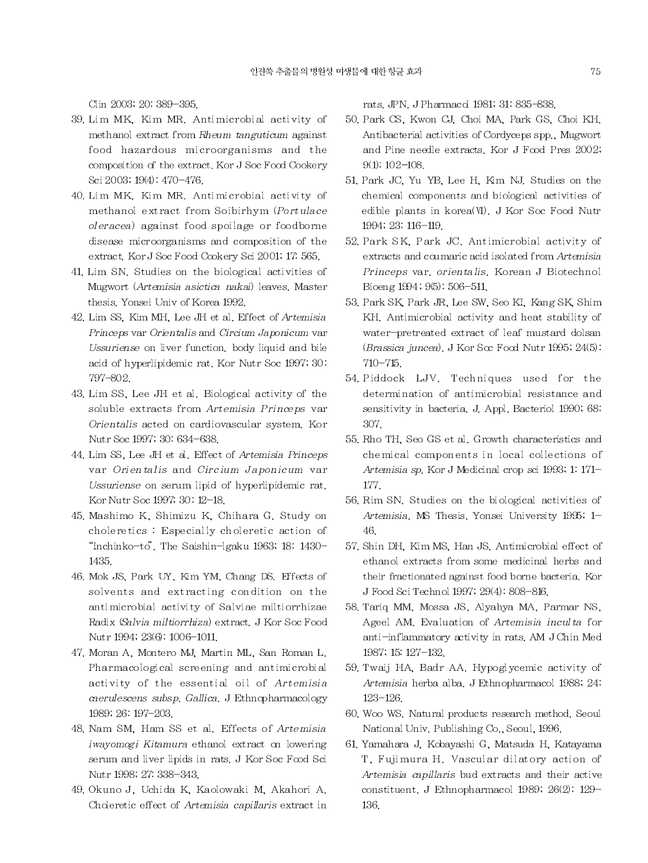Clin 2003; 20: 389-395.

- 39. Lim MK, Kim MR. Antimicrobial activity of methanol extract from Rheum tanguticum against food hazardous microorganisms and the composition of the extract. Kor J Soc Food Cookery Sci 2003, 19(4). 470-476.
- 40. Lim MK, Kim MR. Antimicrobial activity of methanol extract from Soibirhym (Portulace oleracea) against food spoilage or foodborne disease microorganisms and composition of the extract. Kor J Soc Food Cookery Sci 2001; 17: 565.
- 41. Lim SN. Studies on the biological activities of Mugwort (Artemisia asictica nakai) leaves. Master thesis. Yonsei Univ of Korea 1992.
- 42. Lim SS, Kim MH, Lee JH et al. Effect of Artemisia Princeps var Orientalis and Circium Japonicum var Ussuriense on liver function, body liquid and bile acid of hyperlipidemic rat. Kor Nutr Soc 1997, 30. 797-802.
- 43. Lim SS, Lee JH et al. Biological activity of the soluble extracts from Artemisia Princeps var Orientalis acted on cardiovascular system. Kor Nutr Soc 1997; 30: 634-638.
- 44. Lim SS, Lee JH et al. Effect of Artemisia Princeps var Orientalis and Circium Japonicum var Ussuriense on serum lipid of hyperlipidemic rat. Kor Nutr Soc 1997, 30: 12-18.
- 45. Mashimo K, Shimizu K, Chihara G. Study on choleretics: Especially choleretic action of "Inchinko-to". The Saishin-lgaku 1963, 18. 1430-1435.
- 46. Mok JS, Park UY, Kim YM, Chang DS. Effects of solvents and extracting condition on the antimicrobial activity of Salviae miltiorrhizae Radix (Salvia miltiorrhiza) extract. J Kor Soc Food Nutr 1994; 23(6): 1006-1011.
- 47. Moran A, Montero MJ, Martin ML, San Roman L, Pharmacological screening and antimicrobial activity of the essential oil of Artemisia caerulescens subsp. Gallica. J Ethnopharmacology 1989; 26: 197-203.
- 48. Nam SM, Ham SS et al. Effects of Artemisia iwayomogi Kitamura ethanol extract on lowering serum and liver lipids in rats. J Kor Soc Food Sci Nutr 1998; 27. 338-343.
- 49. Okuno J, Uchida K, Kaolowaki M, Akahori A. Choleretic effect of Artemisia capillaris extract in

rats. JPN. J Pharmacol 1981; 31: 835-838.

- 50. Park CS, Kwon CJ, Choi MA, Park GS, Choi KH. Antibacterial activities of Cordyceps spp., Mugwort and Pine needle extracts. Kor J Food Pres 2002,  $9(1): 102 - 108.$
- 51. Park JC, Yu YB, Lee H, Kim NJ, Studies on the chemical components and biological activities of edible plants in korea(VI). J Kor Soc Food Nutr 1994; 23: 116-119.
- 52. Park SK, Park JC, Antimicrobial activity of extracts and coumaric acid isolated from Artemisia Princeps var. orientalis. Korean J Biotechnol Bioeng 1994; 9(5): 506-511.
- 53. Park SK, Park JR, Lee SW, Seo KI, Kang SK, Shim KH. Antimicrobial activity and heat stability of water-pretreated extract of leaf mustard dolsan (Brassica juncea). J Kor Soc Food Nutr 1995; 24(5):  $710 - 715$
- 54. Piddock LJV. Techniques used for the determination of antimicrobial resistance and sensitivity in bacteria, J. Appl. Bacteriol 1990; 68. 307
- 55. Rho TH, Seo GS et al. Growth characteristics and chemical components in local collections of Artemisia sp. Kor J Medicinal crop sci 1993, 1. 171-177.
- 56. Rim SN, Studies on the biological activities of Artemisia, MS Thesis, Yonsei University 1995; 1-46.
- 57. Shin DH, Kim MS, Han JS. Antimicrobial effect of ethanol extracts from some medicinal herbs and their fractionated against food borne bacteria. Kor J Food Sci Technol 1997, 29(4): 808-816.
- 58. Tariq MM, Mossa JS, Alyahya MA, Parmar NS, Ageel AM. Evaluation of Artemisia inculta for anti-inflammatory activity in rats. AM JChin Med 1987; 15: 127-132.
- 59. Twaij HA, Badr AA. Hypoglycemic activity of Artemisia herba alba. J Ethnopharmacol 1988; 24.  $123 - 126$ .
- 60. Woo WS. Natural products research method. Seoul National Univ. Publishing Co., Seoul, 1996.
- 61. Yamahara J, Kobayashi G, Matsuda H, Katayama T, Fujimura H. Vascular dilatory action of Artemisia capillaris bud extracts and their active constituent. J Ethnopharmacol 1989; 26(2): 129-136.